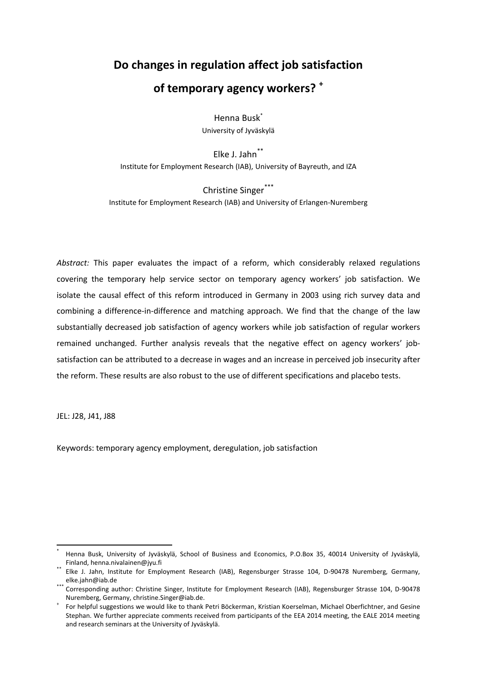# **Do changes in regulation affect job satisfaction of temporary agency workers? <sup>+</sup>**

Henna Busk\* University of Jyväskylä

Elke J. Jahn\*\* Institute for Employment Research (IAB), University of Bayreuth, and IZA

Christine Singer\*\*\* Institute for Employment Research (IAB) and University of Erlangen-Nuremberg

*Abstract:* This paper evaluates the impact of a reform, which considerably relaxed regulations covering the temporary help service sector on temporary agency workers' job satisfaction. We isolate the causal effect of this reform introduced in Germany in 2003 using rich survey data and combining a difference-in-difference and matching approach. We find that the change of the law substantially decreased job satisfaction of agency workers while job satisfaction of regular workers remained unchanged. Further analysis reveals that the negative effect on agency workers' jobsatisfaction can be attributed to a decrease in wages and an increase in perceived job insecurity after the reform. These results are also robust to the use of different specifications and placebo tests.

JEL: J28, J41, J88

1

Keywords: temporary agency employment, deregulation, job satisfaction

<sup>\*</sup> Henna Busk, University of Jyväskylä, School of Business and Economics, P.O.Box 35, 40014 University of Jyväskylä, Finland, [henna.nivalainen@jyu.fi](mailto:henna.nivalainen@jyu.fi)

Elke J. Jahn, Institute for Employment Research (IAB), Regensburger Strasse 104, D-90478 Nuremberg, Germany, elke.jahn@iab.de

Corresponding author: Christine Singer, Institute for Employment Research (IAB), Regensburger Strasse 104, D-90478 Nuremberg, Germany[, christine.Singer@iab.de.](mailto:christine.Singer@iab.de)

<sup>+</sup> For helpful suggestions we would like to thank Petri Böckerman, Kristian Koerselman, Michael Oberfichtner, and Gesine Stephan. We further appreciate comments received from participants of the EEA 2014 meeting, the EALE 2014 meeting and research seminars at the University of Jyväskylä.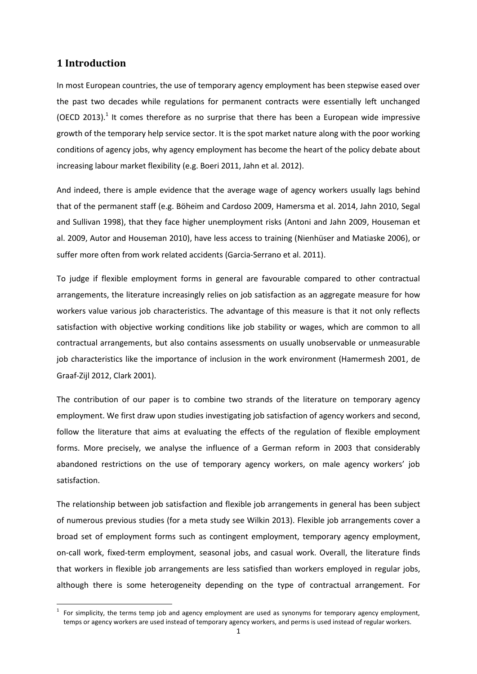# **1 Introduction**

**.** 

In most European countries, the use of temporary agency employment has been stepwise eased over the past two decades while regulations for permanent contracts were essentially left unchanged (OECD 2013).<sup>1</sup> It comes therefore as no surprise that there has been a European wide impressive growth of the temporary help service sector. It is the spot market nature along with the poor working conditions of agency jobs, why agency employment has become the heart of the policy debate about increasing labour market flexibility (e.g. Boeri 2011, Jahn et al. 2012).

And indeed, there is ample evidence that the average wage of agency workers usually lags behind that of the permanent staff (e.g. Böheim and Cardoso 2009, Hamersma et al. 2014, Jahn 2010, Segal and Sullivan 1998), that they face higher unemployment risks (Antoni and Jahn 2009, Houseman et al. 2009, Autor and Houseman 2010), have less access to training (Nienhüser and Matiaske 2006), or suffer more often from work related accidents (Garcia-Serrano et al. 2011).

To judge if flexible employment forms in general are favourable compared to other contractual arrangements, the literature increasingly relies on job satisfaction as an aggregate measure for how workers value various job characteristics. The advantage of this measure is that it not only reflects satisfaction with objective working conditions like job stability or wages, which are common to all contractual arrangements, but also contains assessments on usually unobservable or unmeasurable job characteristics like the importance of inclusion in the work environment (Hamermesh 2001, de Graaf-Zijl 2012, Clark 2001).

The contribution of our paper is to combine two strands of the literature on temporary agency employment. We first draw upon studies investigating job satisfaction of agency workers and second, follow the literature that aims at evaluating the effects of the regulation of flexible employment forms. More precisely, we analyse the influence of a German reform in 2003 that considerably abandoned restrictions on the use of temporary agency workers, on male agency workers' job satisfaction.

The relationship between job satisfaction and flexible job arrangements in general has been subject of numerous previous studies (for a meta study see Wilkin 2013). Flexible job arrangements cover a broad set of employment forms such as contingent employment, temporary agency employment, on-call work, fixed-term employment, seasonal jobs, and casual work. Overall, the literature finds that workers in flexible job arrangements are less satisfied than workers employed in regular jobs, although there is some heterogeneity depending on the type of contractual arrangement. For

<sup>1</sup> For simplicity, the terms temp job and agency employment are used as synonyms for temporary agency employment, temps or agency workers are used instead of temporary agency workers, and perms is used instead of regular workers.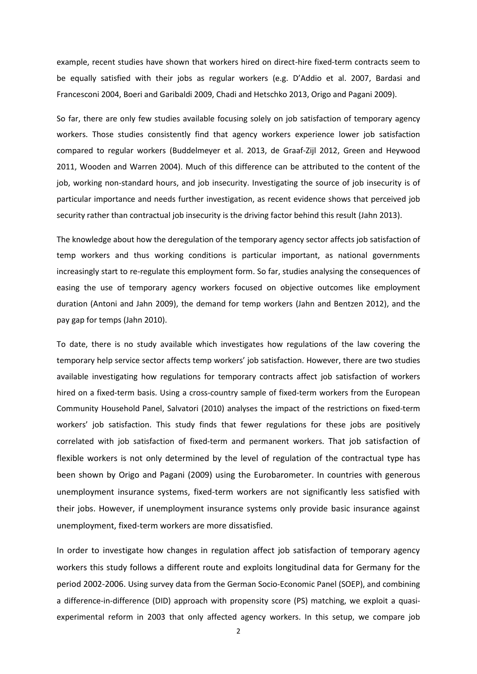example, recent studies have shown that workers hired on direct-hire fixed-term contracts seem to be equally satisfied with their jobs as regular workers (e.g. D'Addio et al. 2007, Bardasi and Francesconi 2004, Boeri and Garibaldi 2009, Chadi and Hetschko 2013, Origo and Pagani 2009).

So far, there are only few studies available focusing solely on job satisfaction of temporary agency workers. Those studies consistently find that agency workers experience lower job satisfaction compared to regular workers (Buddelmeyer et al. 2013, de Graaf-Zijl 2012, Green and Heywood 2011, Wooden and Warren 2004). Much of this difference can be attributed to the content of the job, working non-standard hours, and job insecurity. Investigating the source of job insecurity is of particular importance and needs further investigation, as recent evidence shows that perceived job security rather than contractual job insecurity is the driving factor behind this result (Jahn 2013).

The knowledge about how the deregulation of the temporary agency sector affects job satisfaction of temp workers and thus working conditions is particular important, as national governments increasingly start to re-regulate this employment form. So far, studies analysing the consequences of easing the use of temporary agency workers focused on objective outcomes like employment duration (Antoni and Jahn 2009), the demand for temp workers (Jahn and Bentzen 2012), and the pay gap for temps (Jahn 2010).

To date, there is no study available which investigates how regulations of the law covering the temporary help service sector affects temp workers' job satisfaction. However, there are two studies available investigating how regulations for temporary contracts affect job satisfaction of workers hired on a fixed-term basis. Using a cross-country sample of fixed-term workers from the European Community Household Panel, Salvatori (2010) analyses the impact of the restrictions on fixed-term workers' job satisfaction. This study finds that fewer regulations for these jobs are positively correlated with job satisfaction of fixed-term and permanent workers. That job satisfaction of flexible workers is not only determined by the level of regulation of the contractual type has been shown by Origo and Pagani (2009) using the Eurobarometer. In countries with generous unemployment insurance systems, fixed-term workers are not significantly less satisfied with their jobs. However, if unemployment insurance systems only provide basic insurance against unemployment, fixed-term workers are more dissatisfied.

In order to investigate how changes in regulation affect job satisfaction of temporary agency workers this study follows a different route and exploits longitudinal data for Germany for the period 2002-2006. Using survey data from the German Socio-Economic Panel (SOEP), and combining a difference-in-difference (DID) approach with propensity score (PS) matching, we exploit a quasiexperimental reform in 2003 that only affected agency workers. In this setup, we compare job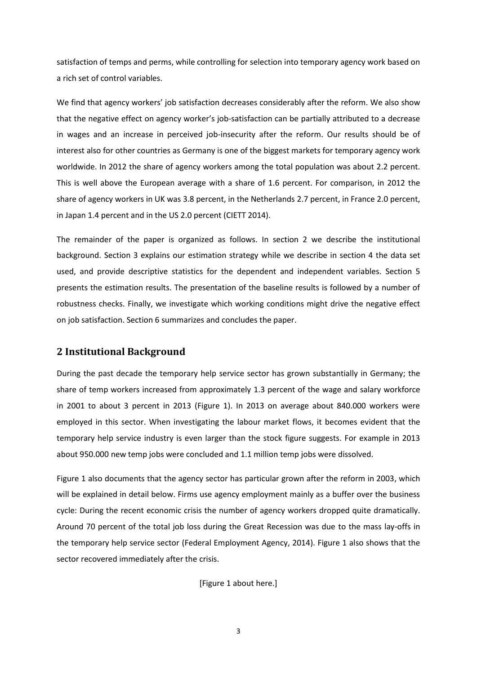satisfaction of temps and perms, while controlling for selection into temporary agency work based on a rich set of control variables.

We find that agency workers' job satisfaction decreases considerably after the reform. We also show that the negative effect on agency worker's job-satisfaction can be partially attributed to a decrease in wages and an increase in perceived job-insecurity after the reform. Our results should be of interest also for other countries as Germany is one of the biggest markets for temporary agency work worldwide. In 2012 the share of agency workers among the total population was about 2.2 percent. This is well above the European average with a share of 1.6 percent. For comparison, in 2012 the share of agency workers in UK was 3.8 percent, in the Netherlands 2.7 percent, in France 2.0 percent, in Japan 1.4 percent and in the US 2.0 percent (CIETT 2014).

The remainder of the paper is organized as follows. In section 2 we describe the institutional background. Section 3 explains our estimation strategy while we describe in section 4 the data set used, and provide descriptive statistics for the dependent and independent variables. Section 5 presents the estimation results. The presentation of the baseline results is followed by a number of robustness checks. Finally, we investigate which working conditions might drive the negative effect on job satisfaction. Section 6 summarizes and concludes the paper.

# **2 Institutional Background**

During the past decade the temporary help service sector has grown substantially in Germany; the share of temp workers increased from approximately 1.3 percent of the wage and salary workforce in 2001 to about 3 percent in 2013 (Figure 1). In 2013 on average about 840.000 workers were employed in this sector. When investigating the labour market flows, it becomes evident that the temporary help service industry is even larger than the stock figure suggests. For example in 2013 about 950.000 new temp jobs were concluded and 1.1 million temp jobs were dissolved.

Figure 1 also documents that the agency sector has particular grown after the reform in 2003, which will be explained in detail below. Firms use agency employment mainly as a buffer over the business cycle: During the recent economic crisis the number of agency workers dropped quite dramatically. Around 70 percent of the total job loss during the Great Recession was due to the mass lay-offs in the temporary help service sector (Federal Employment Agency, 2014). Figure 1 also shows that the sector recovered immediately after the crisis.

[Figure 1 about here.]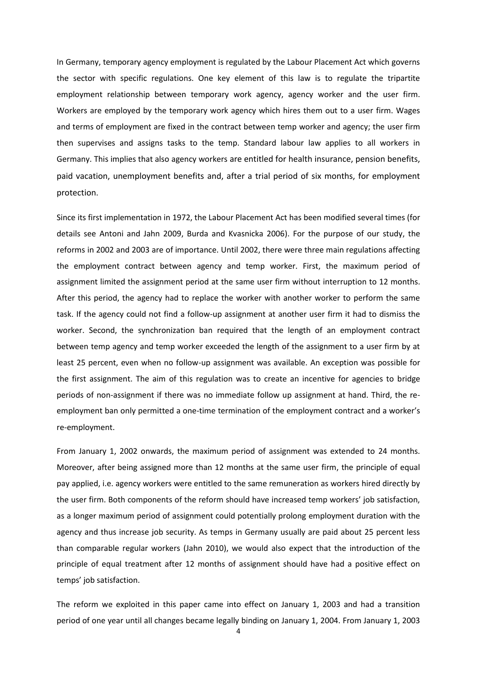In Germany, temporary agency employment is regulated by the Labour Placement Act which governs the sector with specific regulations. One key element of this law is to regulate the tripartite employment relationship between temporary work agency, agency worker and the user firm. Workers are employed by the temporary work agency which hires them out to a user firm. Wages and terms of employment are fixed in the contract between temp worker and agency; the user firm then supervises and assigns tasks to the temp. Standard labour law applies to all workers in Germany. This implies that also agency workers are entitled for health insurance, pension benefits, paid vacation, unemployment benefits and, after a trial period of six months, for employment protection.

Since its first implementation in 1972, the Labour Placement Act has been modified several times (for details see Antoni and Jahn 2009, Burda and Kvasnicka 2006). For the purpose of our study, the reforms in 2002 and 2003 are of importance. Until 2002, there were three main regulations affecting the employment contract between agency and temp worker. First, the maximum period of assignment limited the assignment period at the same user firm without interruption to 12 months. After this period, the agency had to replace the worker with another worker to perform the same task. If the agency could not find a follow-up assignment at another user firm it had to dismiss the worker. Second, the synchronization ban required that the length of an employment contract between temp agency and temp worker exceeded the length of the assignment to a user firm by at least 25 percent, even when no follow-up assignment was available. An exception was possible for the first assignment. The aim of this regulation was to create an incentive for agencies to bridge periods of non-assignment if there was no immediate follow up assignment at hand. Third, the reemployment ban only permitted a one-time termination of the employment contract and a worker's re-employment.

From January 1, 2002 onwards, the maximum period of assignment was extended to 24 months. Moreover, after being assigned more than 12 months at the same user firm, the principle of equal pay applied, i.e. agency workers were entitled to the same remuneration as workers hired directly by the user firm. Both components of the reform should have increased temp workers' job satisfaction, as a longer maximum period of assignment could potentially prolong employment duration with the agency and thus increase job security. As temps in Germany usually are paid about 25 percent less than comparable regular workers (Jahn 2010), we would also expect that the introduction of the principle of equal treatment after 12 months of assignment should have had a positive effect on temps' job satisfaction.

The reform we exploited in this paper came into effect on January 1, 2003 and had a transition period of one year until all changes became legally binding on January 1, 2004. From January 1, 2003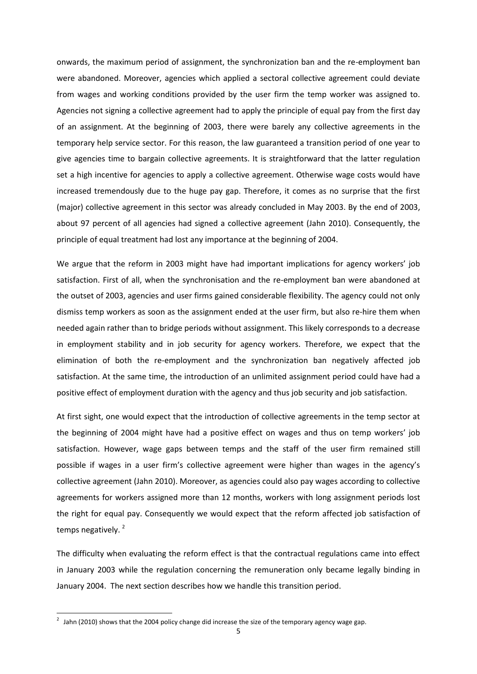onwards, the maximum period of assignment, the synchronization ban and the re-employment ban were abandoned. Moreover, agencies which applied a sectoral collective agreement could deviate from wages and working conditions provided by the user firm the temp worker was assigned to. Agencies not signing a collective agreement had to apply the principle of equal pay from the first day of an assignment. At the beginning of 2003, there were barely any collective agreements in the temporary help service sector. For this reason, the law guaranteed a transition period of one year to give agencies time to bargain collective agreements. It is straightforward that the latter regulation set a high incentive for agencies to apply a collective agreement. Otherwise wage costs would have increased tremendously due to the huge pay gap. Therefore, it comes as no surprise that the first (major) collective agreement in this sector was already concluded in May 2003. By the end of 2003, about 97 percent of all agencies had signed a collective agreement (Jahn 2010). Consequently, the principle of equal treatment had lost any importance at the beginning of 2004.

We argue that the reform in 2003 might have had important implications for agency workers' job satisfaction. First of all, when the synchronisation and the re-employment ban were abandoned at the outset of 2003, agencies and user firms gained considerable flexibility. The agency could not only dismiss temp workers as soon as the assignment ended at the user firm, but also re-hire them when needed again rather than to bridge periods without assignment. This likely corresponds to a decrease in employment stability and in job security for agency workers. Therefore, we expect that the elimination of both the re-employment and the synchronization ban negatively affected job satisfaction. At the same time, the introduction of an unlimited assignment period could have had a positive effect of employment duration with the agency and thus job security and job satisfaction.

At first sight, one would expect that the introduction of collective agreements in the temp sector at the beginning of 2004 might have had a positive effect on wages and thus on temp workers' job satisfaction. However, wage gaps between temps and the staff of the user firm remained still possible if wages in a user firm's collective agreement were higher than wages in the agency's collective agreement (Jahn 2010). Moreover, as agencies could also pay wages according to collective agreements for workers assigned more than 12 months, workers with long assignment periods lost the right for equal pay. Consequently we would expect that the reform affected job satisfaction of temps negatively.<sup>2</sup>

The difficulty when evaluating the reform effect is that the contractual regulations came into effect in January 2003 while the regulation concerning the remuneration only became legally binding in January 2004. The next section describes how we handle this transition period.

 $\overline{\phantom{a}}$ 

 $^{2}$  Jahn (2010) shows that the 2004 policy change did increase the size of the temporary agency wage gap.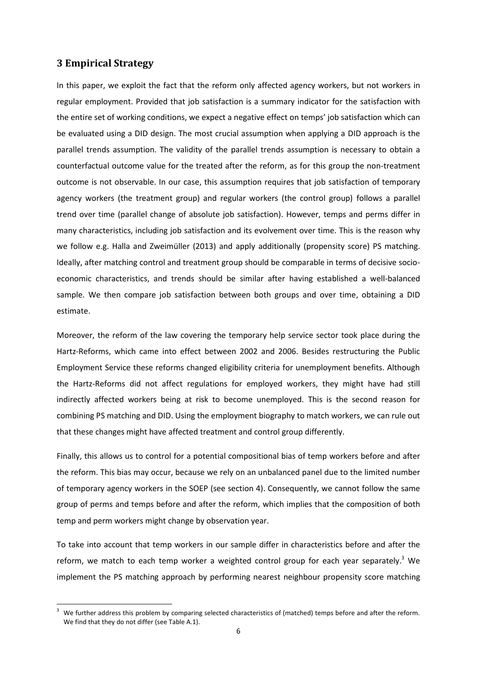# **3 Empirical Strategy**

**.** 

In this paper, we exploit the fact that the reform only affected agency workers, but not workers in regular employment. Provided that job satisfaction is a summary indicator for the satisfaction with the entire set of working conditions, we expect a negative effect on temps' job satisfaction which can be evaluated using a DID design. The most crucial assumption when applying a DID approach is the parallel trends assumption. The validity of the parallel trends assumption is necessary to obtain a counterfactual outcome value for the treated after the reform, as for this group the non-treatment outcome is not observable. In our case, this assumption requires that job satisfaction of temporary agency workers (the treatment group) and regular workers (the control group) follows a parallel trend over time (parallel change of absolute job satisfaction). However, temps and perms differ in many characteristics, including job satisfaction and its evolvement over time. This is the reason why we follow e.g. Halla and Zweimüller (2013) and apply additionally (propensity score) PS matching. Ideally, after matching control and treatment group should be comparable in terms of decisive socioeconomic characteristics, and trends should be similar after having established a well-balanced sample. We then compare job satisfaction between both groups and over time, obtaining a DID estimate.

Moreover, the reform of the law covering the temporary help service sector took place during the Hartz-Reforms, which came into effect between 2002 and 2006. Besides restructuring the Public Employment Service these reforms changed eligibility criteria for unemployment benefits. Although the Hartz-Reforms did not affect regulations for employed workers, they might have had still indirectly affected workers being at risk to become unemployed. This is the second reason for combining PS matching and DID. Using the employment biography to match workers, we can rule out that these changes might have affected treatment and control group differently.

Finally, this allows us to control for a potential compositional bias of temp workers before and after the reform. This bias may occur, because we rely on an unbalanced panel due to the limited number of temporary agency workers in the SOEP (see section 4). Consequently, we cannot follow the same group of perms and temps before and after the reform, which implies that the composition of both temp and perm workers might change by observation year.

To take into account that temp workers in our sample differ in characteristics before and after the reform, we match to each temp worker a weighted control group for each year separately.<sup>3</sup> We implement the PS matching approach by performing nearest neighbour propensity score matching

We further address this problem by comparing selected characteristics of (matched) temps before and after the reform. We find that they do not differ (see Table A.1).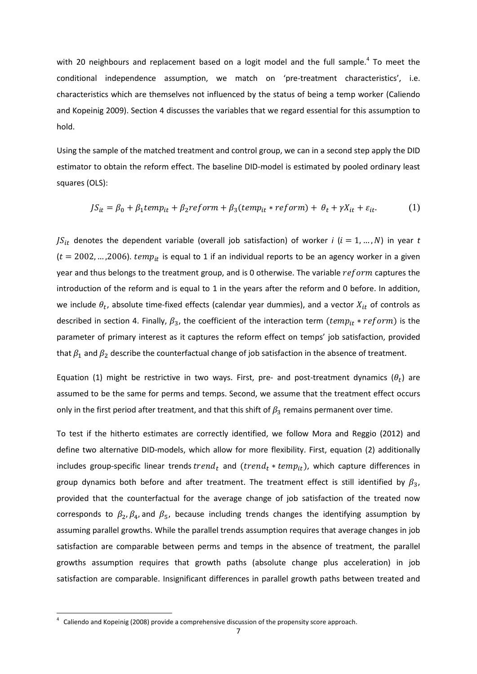with 20 neighbours and replacement based on a logit model and the full sample.<sup>4</sup> To meet the conditional independence assumption, we match on 'pre-treatment characteristics', i.e. characteristics which are themselves not influenced by the status of being a temp worker (Caliendo and Kopeinig 2009). Section 4 discusses the variables that we regard essential for this assumption to hold.

Using the sample of the matched treatment and control group, we can in a second step apply the DID estimator to obtain the reform effect. The baseline DID-model is estimated by pooled ordinary least squares (OLS):

$$
JS_{it} = \beta_0 + \beta_1 temp_{it} + \beta_2 reform + \beta_3 (temp_{it} * reform) + \theta_t + \gamma X_{it} + \varepsilon_{it}.
$$
 (1)

 $JS_{it}$  denotes the dependent variable (overall job satisfaction) of worker *i* ( $i = 1, ..., N$ ) in year *t*  $(t = 2002, ..., 2006)$ .  $temp_{it}$  is equal to 1 if an individual reports to be an agency worker in a given year and thus belongs to the treatment group, and is 0 otherwise. The variable  $reform$  captures the introduction of the reform and is equal to 1 in the years after the reform and 0 before. In addition, we include  $\theta_t$ , absolute time-fixed effects (calendar year dummies), and a vector  $X_{it}$  of controls as described in section 4. Finally,  $\beta_3$ , the coefficient of the interaction term ( $temp_{it} * reform$ ) is the parameter of primary interest as it captures the reform effect on temps' job satisfaction, provided that  $\beta_1$  and  $\beta_2$  describe the counterfactual change of job satisfaction in the absence of treatment.

Equation (1) might be restrictive in two ways. First, pre- and post-treatment dynamics  $(\theta_t)$  are assumed to be the same for perms and temps. Second, we assume that the treatment effect occurs only in the first period after treatment, and that this shift of  $\beta_3$  remains permanent over time.

To test if the hitherto estimates are correctly identified, we follow Mora and Reggio (2012) and define two alternative DID-models, which allow for more flexibility. First, equation (2) additionally includes group-specific linear trends  $trend_t$  and  $(trend_t * temp_{it})$ , which capture differences in group dynamics both before and after treatment. The treatment effect is still identified by  $\beta_3$ , provided that the counterfactual for the average change of job satisfaction of the treated now corresponds to  $\beta_2$ ,  $\beta_4$ , and  $\beta_5$ , because including trends changes the identifying assumption by assuming parallel growths. While the parallel trends assumption requires that average changes in job satisfaction are comparable between perms and temps in the absence of treatment, the parallel growths assumption requires that growth paths (absolute change plus acceleration) in job satisfaction are comparable. Insignificant differences in parallel growth paths between treated and

 $\overline{a}$ 

 $4$  Caliendo and Kopeinig (2008) provide a comprehensive discussion of the propensity score approach.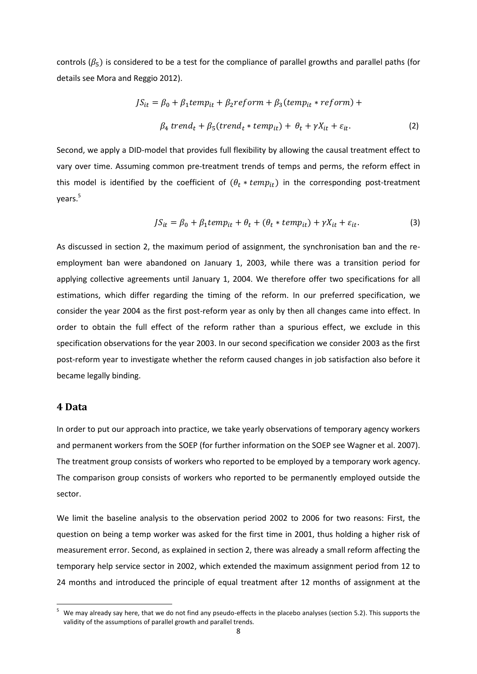controls ( $\beta$ <sub>5</sub>) is considered to be a test for the compliance of parallel growths and parallel paths (for details see Mora and Reggio 2012).

$$
JS_{it} = \beta_0 + \beta_1 temp_{it} + \beta_2 reform + \beta_3 (temp_{it} * reform) +
$$
  

$$
\beta_4 trend_t + \beta_5 (trend_t * temp_{it}) + \theta_t + \gamma X_{it} + \varepsilon_{it}.
$$
 (2)

Second, we apply a DID-model that provides full flexibility by allowing the causal treatment effect to vary over time. Assuming common pre-treatment trends of temps and perms, the reform effect in this model is identified by the coefficient of  $(\theta_t * temp_{it})$  in the corresponding post-treatment years. 5

$$
JS_{it} = \beta_0 + \beta_1 temp_{it} + \theta_t + (\theta_t * temp_{it}) + \gamma X_{it} + \varepsilon_{it}.
$$
 (3)

As discussed in section 2, the maximum period of assignment, the synchronisation ban and the reemployment ban were abandoned on January 1, 2003, while there was a transition period for applying collective agreements until January 1, 2004. We therefore offer two specifications for all estimations, which differ regarding the timing of the reform. In our preferred specification, we consider the year 2004 as the first post-reform year as only by then all changes came into effect. In order to obtain the full effect of the reform rather than a spurious effect, we exclude in this specification observations for the year 2003. In our second specification we consider 2003 as the first post-reform year to investigate whether the reform caused changes in job satisfaction also before it became legally binding.

# **4 Data**

**.** 

In order to put our approach into practice, we take yearly observations of temporary agency workers and permanent workers from the SOEP (for further information on the SOEP see Wagner et al. 2007). The treatment group consists of workers who reported to be employed by a temporary work agency. The comparison group consists of workers who reported to be permanently employed outside the sector.

We limit the baseline analysis to the observation period 2002 to 2006 for two reasons: First, the question on being a temp worker was asked for the first time in 2001, thus holding a higher risk of measurement error. Second, as explained in section 2, there was already a small reform affecting the temporary help service sector in 2002, which extended the maximum assignment period from 12 to 24 months and introduced the principle of equal treatment after 12 months of assignment at the

<sup>5</sup> We may already say here, that we do not find any pseudo-effects in the placebo analyses (section 5.2). This supports the validity of the assumptions of parallel growth and parallel trends.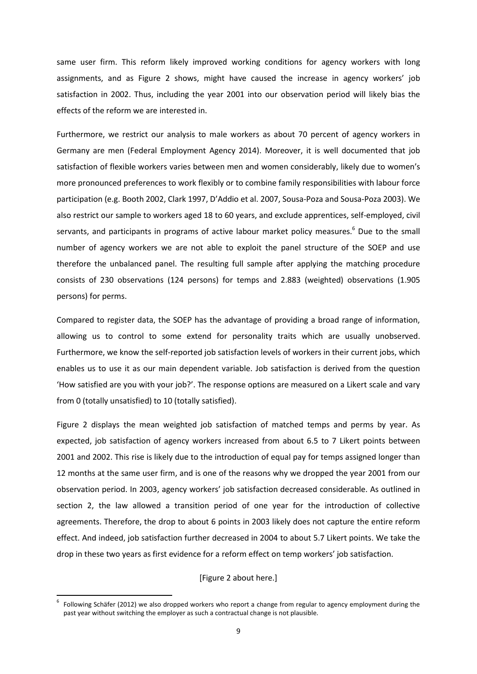same user firm. This reform likely improved working conditions for agency workers with long assignments, and as Figure 2 shows, might have caused the increase in agency workers' job satisfaction in 2002. Thus, including the year 2001 into our observation period will likely bias the effects of the reform we are interested in.

Furthermore, we restrict our analysis to male workers as about 70 percent of agency workers in Germany are men (Federal Employment Agency 2014). Moreover, it is well documented that job satisfaction of flexible workers varies between men and women considerably, likely due to women's more pronounced preferences to work flexibly or to combine family responsibilities with labour force participation (e.g. Booth 2002, Clark 1997, D'Addio et al. 2007, Sousa-Poza and Sousa-Poza 2003). We also restrict our sample to workers aged 18 to 60 years, and exclude apprentices, self-employed, civil servants, and participants in programs of active labour market policy measures.<sup>6</sup> Due to the small number of agency workers we are not able to exploit the panel structure of the SOEP and use therefore the unbalanced panel. The resulting full sample after applying the matching procedure consists of 230 observations (124 persons) for temps and 2.883 (weighted) observations (1.905 persons) for perms.

Compared to register data, the SOEP has the advantage of providing a broad range of information, allowing us to control to some extend for personality traits which are usually unobserved. Furthermore, we know the self-reported job satisfaction levels of workers in their current jobs, which enables us to use it as our main dependent variable. Job satisfaction is derived from the question 'How satisfied are you with your job?'. The response options are measured on a Likert scale and vary from 0 (totally unsatisfied) to 10 (totally satisfied).

Figure 2 displays the mean weighted job satisfaction of matched temps and perms by year. As expected, job satisfaction of agency workers increased from about 6.5 to 7 Likert points between 2001 and 2002. This rise is likely due to the introduction of equal pay for temps assigned longer than 12 months at the same user firm, and is one of the reasons why we dropped the year 2001 from our observation period. In 2003, agency workers' job satisfaction decreased considerable. As outlined in section 2, the law allowed a transition period of one year for the introduction of collective agreements. Therefore, the drop to about 6 points in 2003 likely does not capture the entire reform effect. And indeed, job satisfaction further decreased in 2004 to about 5.7 Likert points. We take the drop in these two years as first evidence for a reform effect on temp workers' job satisfaction.

#### [Figure 2 about here.]

**.** 

<sup>6</sup> Following Schäfer (2012) we also dropped workers who report a change from regular to agency employment during the past year without switching the employer as such a contractual change is not plausible.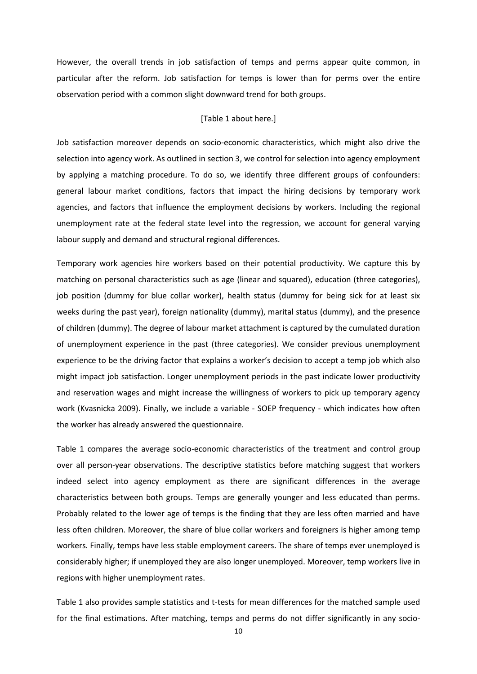However, the overall trends in job satisfaction of temps and perms appear quite common, in particular after the reform. Job satisfaction for temps is lower than for perms over the entire observation period with a common slight downward trend for both groups.

#### [Table 1 about here.]

Job satisfaction moreover depends on socio-economic characteristics, which might also drive the selection into agency work. As outlined in section 3, we control for selection into agency employment by applying a matching procedure. To do so, we identify three different groups of confounders: general labour market conditions, factors that impact the hiring decisions by temporary work agencies, and factors that influence the employment decisions by workers. Including the regional unemployment rate at the federal state level into the regression, we account for general varying labour supply and demand and structural regional differences.

Temporary work agencies hire workers based on their potential productivity. We capture this by matching on personal characteristics such as age (linear and squared), education (three categories), job position (dummy for blue collar worker), health status (dummy for being sick for at least six weeks during the past year), foreign nationality (dummy), marital status (dummy), and the presence of children (dummy). The degree of labour market attachment is captured by the cumulated duration of unemployment experience in the past (three categories). We consider previous unemployment experience to be the driving factor that explains a worker's decision to accept a temp job which also might impact job satisfaction. Longer unemployment periods in the past indicate lower productivity and reservation wages and might increase the willingness of workers to pick up temporary agency work (Kvasnicka 2009). Finally, we include a variable - SOEP frequency - which indicates how often the worker has already answered the questionnaire.

Table 1 compares the average socio-economic characteristics of the treatment and control group over all person-year observations. The descriptive statistics before matching suggest that workers indeed select into agency employment as there are significant differences in the average characteristics between both groups. Temps are generally younger and less educated than perms. Probably related to the lower age of temps is the finding that they are less often married and have less often children. Moreover, the share of blue collar workers and foreigners is higher among temp workers. Finally, temps have less stable employment careers. The share of temps ever unemployed is considerably higher; if unemployed they are also longer unemployed. Moreover, temp workers live in regions with higher unemployment rates.

Table 1 also provides sample statistics and t-tests for mean differences for the matched sample used for the final estimations. After matching, temps and perms do not differ significantly in any socio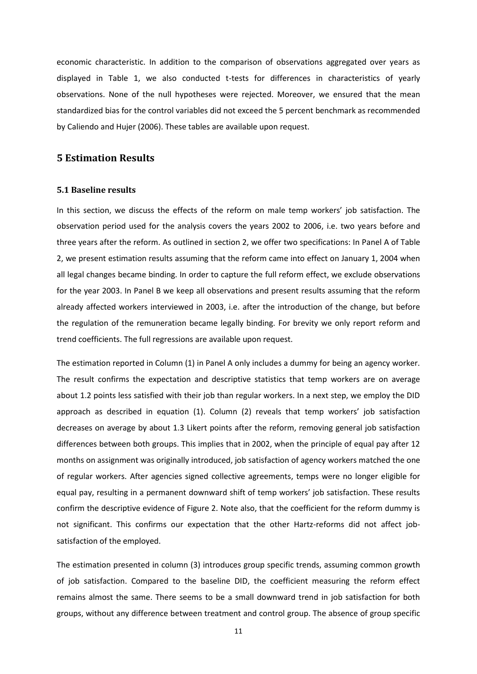economic characteristic. In addition to the comparison of observations aggregated over years as displayed in Table 1, we also conducted t-tests for differences in characteristics of yearly observations. None of the null hypotheses were rejected. Moreover, we ensured that the mean standardized bias for the control variables did not exceed the 5 percent benchmark as recommended by Caliendo and Hujer (2006). These tables are available upon request.

# **5 Estimation Results**

#### **5.1 Baseline results**

In this section, we discuss the effects of the reform on male temp workers' job satisfaction. The observation period used for the analysis covers the years 2002 to 2006, i.e. two years before and three years after the reform. As outlined in section 2, we offer two specifications: In Panel A of Table 2, we present estimation results assuming that the reform came into effect on January 1, 2004 when all legal changes became binding. In order to capture the full reform effect, we exclude observations for the year 2003. In Panel B we keep all observations and present results assuming that the reform already affected workers interviewed in 2003, i.e. after the introduction of the change, but before the regulation of the remuneration became legally binding. For brevity we only report reform and trend coefficients. The full regressions are available upon request.

The estimation reported in Column (1) in Panel A only includes a dummy for being an agency worker. The result confirms the expectation and descriptive statistics that temp workers are on average about 1.2 points less satisfied with their job than regular workers. In a next step, we employ the DID approach as described in equation (1). Column (2) reveals that temp workers' job satisfaction decreases on average by about 1.3 Likert points after the reform, removing general job satisfaction differences between both groups. This implies that in 2002, when the principle of equal pay after 12 months on assignment was originally introduced, job satisfaction of agency workers matched the one of regular workers. After agencies signed collective agreements, temps were no longer eligible for equal pay, resulting in a permanent downward shift of temp workers' job satisfaction. These results confirm the descriptive evidence of Figure 2. Note also, that the coefficient for the reform dummy is not significant. This confirms our expectation that the other Hartz-reforms did not affect jobsatisfaction of the employed.

The estimation presented in column (3) introduces group specific trends, assuming common growth of job satisfaction. Compared to the baseline DID, the coefficient measuring the reform effect remains almost the same. There seems to be a small downward trend in job satisfaction for both groups, without any difference between treatment and control group. The absence of group specific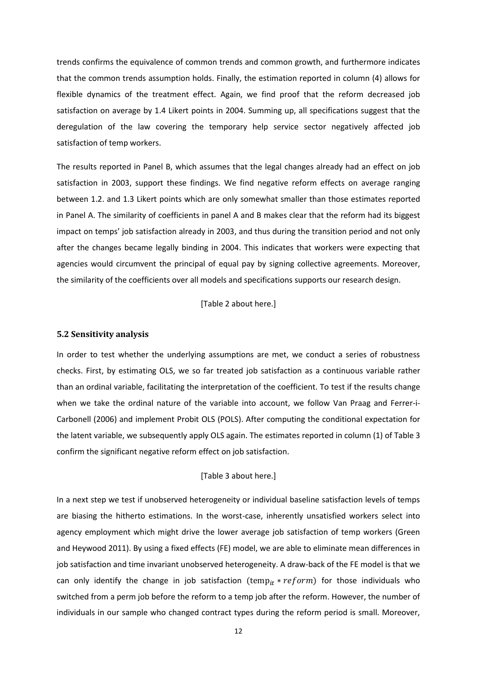trends confirms the equivalence of common trends and common growth, and furthermore indicates that the common trends assumption holds. Finally, the estimation reported in column (4) allows for flexible dynamics of the treatment effect. Again, we find proof that the reform decreased job satisfaction on average by 1.4 Likert points in 2004. Summing up, all specifications suggest that the deregulation of the law covering the temporary help service sector negatively affected job satisfaction of temp workers.

The results reported in Panel B, which assumes that the legal changes already had an effect on job satisfaction in 2003, support these findings. We find negative reform effects on average ranging between 1.2. and 1.3 Likert points which are only somewhat smaller than those estimates reported in Panel A. The similarity of coefficients in panel A and B makes clear that the reform had its biggest impact on temps' job satisfaction already in 2003, and thus during the transition period and not only after the changes became legally binding in 2004. This indicates that workers were expecting that agencies would circumvent the principal of equal pay by signing collective agreements. Moreover, the similarity of the coefficients over all models and specifications supports our research design.

[Table 2 about here.]

#### **5.2 Sensitivity analysis**

In order to test whether the underlying assumptions are met, we conduct a series of robustness checks. First, by estimating OLS, we so far treated job satisfaction as a continuous variable rather than an ordinal variable, facilitating the interpretation of the coefficient. To test if the results change when we take the ordinal nature of the variable into account, we follow Van Praag and Ferrer-i-Carbonell (2006) and implement Probit OLS (POLS). After computing the conditional expectation for the latent variable, we subsequently apply OLS again. The estimates reported in column (1) of Table 3 confirm the significant negative reform effect on job satisfaction.

#### [Table 3 about here.]

In a next step we test if unobserved heterogeneity or individual baseline satisfaction levels of temps are biasing the hitherto estimations. In the worst-case, inherently unsatisfied workers select into agency employment which might drive the lower average job satisfaction of temp workers (Green and Heywood 2011). By using a fixed effects (FE) model, we are able to eliminate mean differences in job satisfaction and time invariant unobserved heterogeneity. A draw-back of the FE model is that we can only identify the change in job satisfaction (temp<sub>it</sub> \*  $reform$ ) for those individuals who switched from a perm job before the reform to a temp job after the reform. However, the number of individuals in our sample who changed contract types during the reform period is small. Moreover,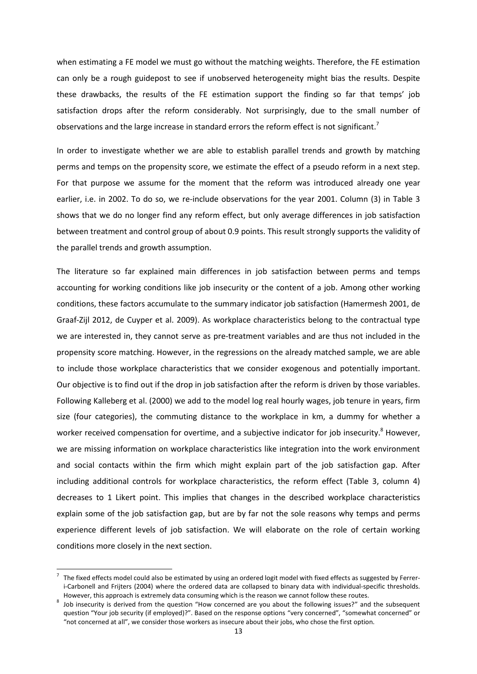when estimating a FE model we must go without the matching weights. Therefore, the FE estimation can only be a rough guidepost to see if unobserved heterogeneity might bias the results. Despite these drawbacks, the results of the FE estimation support the finding so far that temps' job satisfaction drops after the reform considerably. Not surprisingly, due to the small number of observations and the large increase in standard errors the reform effect is not significant.<sup>7</sup>

In order to investigate whether we are able to establish parallel trends and growth by matching perms and temps on the propensity score, we estimate the effect of a pseudo reform in a next step. For that purpose we assume for the moment that the reform was introduced already one year earlier, i.e. in 2002. To do so, we re-include observations for the year 2001. Column (3) in Table 3 shows that we do no longer find any reform effect, but only average differences in job satisfaction between treatment and control group of about 0.9 points. This result strongly supports the validity of the parallel trends and growth assumption.

The literature so far explained main differences in job satisfaction between perms and temps accounting for working conditions like job insecurity or the content of a job. Among other working conditions, these factors accumulate to the summary indicator job satisfaction (Hamermesh 2001, de Graaf-Zijl 2012, de Cuyper et al. 2009). As workplace characteristics belong to the contractual type we are interested in, they cannot serve as pre-treatment variables and are thus not included in the propensity score matching. However, in the regressions on the already matched sample, we are able to include those workplace characteristics that we consider exogenous and potentially important. Our objective is to find out if the drop in job satisfaction after the reform is driven by those variables. Following Kalleberg et al. (2000) we add to the model log real hourly wages, job tenure in years, firm size (four categories), the commuting distance to the workplace in km, a dummy for whether a worker received compensation for overtime, and a subjective indicator for job insecurity.<sup>8</sup> However, we are missing information on workplace characteristics like integration into the work environment and social contacts within the firm which might explain part of the job satisfaction gap. After including additional controls for workplace characteristics, the reform effect (Table 3, column 4) decreases to 1 Likert point. This implies that changes in the described workplace characteristics explain some of the job satisfaction gap, but are by far not the sole reasons why temps and perms experience different levels of job satisfaction. We will elaborate on the role of certain working conditions more closely in the next section.

**.** 

<sup>7</sup> The fixed effects model could also be estimated by using an ordered logit model with fixed effects as suggested by Ferreri-Carbonell and Frijters (2004) where the ordered data are collapsed to binary data with individual-specific thresholds. However, this approach is extremely data consuming which is the reason we cannot follow these routes.

<sup>8</sup> Job insecurity is derived from the question "How concerned are you about the following issues?" and the subsequent question "Your job security (if employed)?". Based on the response options "very concerned", "somewhat concerned" or "not concerned at all", we consider those workers as insecure about their jobs, who chose the first option.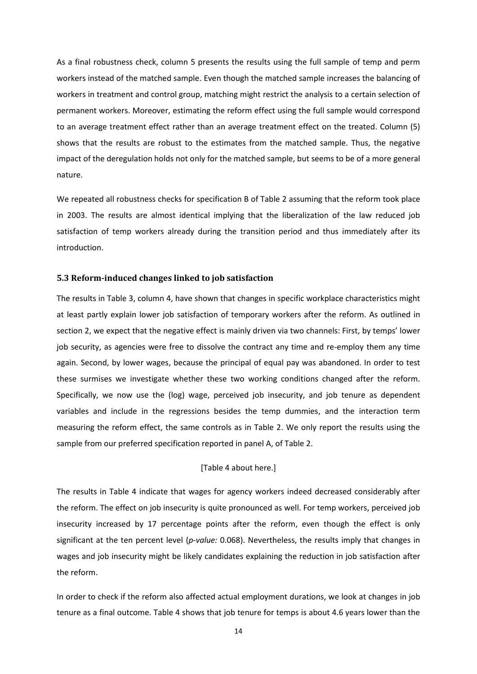As a final robustness check, column 5 presents the results using the full sample of temp and perm workers instead of the matched sample. Even though the matched sample increases the balancing of workers in treatment and control group, matching might restrict the analysis to a certain selection of permanent workers. Moreover, estimating the reform effect using the full sample would correspond to an average treatment effect rather than an average treatment effect on the treated. Column (5) shows that the results are robust to the estimates from the matched sample. Thus, the negative impact of the deregulation holds not only for the matched sample, but seems to be of a more general nature.

We repeated all robustness checks for specification B of Table 2 assuming that the reform took place in 2003. The results are almost identical implying that the liberalization of the law reduced job satisfaction of temp workers already during the transition period and thus immediately after its introduction.

#### **5.3 Reform-induced changes linked to job satisfaction**

The results in Table 3, column 4, have shown that changes in specific workplace characteristics might at least partly explain lower job satisfaction of temporary workers after the reform. As outlined in section 2, we expect that the negative effect is mainly driven via two channels: First, by temps' lower job security, as agencies were free to dissolve the contract any time and re-employ them any time again. Second, by lower wages, because the principal of equal pay was abandoned. In order to test these surmises we investigate whether these two working conditions changed after the reform. Specifically, we now use the (log) wage, perceived job insecurity, and job tenure as dependent variables and include in the regressions besides the temp dummies, and the interaction term measuring the reform effect, the same controls as in Table 2. We only report the results using the sample from our preferred specification reported in panel A, of Table 2.

#### [Table 4 about here.]

The results in Table 4 indicate that wages for agency workers indeed decreased considerably after the reform. The effect on job insecurity is quite pronounced as well. For temp workers, perceived job insecurity increased by 17 percentage points after the reform, even though the effect is only significant at the ten percent level (*p-value:* 0.068). Nevertheless, the results imply that changes in wages and job insecurity might be likely candidates explaining the reduction in job satisfaction after the reform.

In order to check if the reform also affected actual employment durations, we look at changes in job tenure as a final outcome. Table 4 shows that job tenure for temps is about 4.6 years lower than the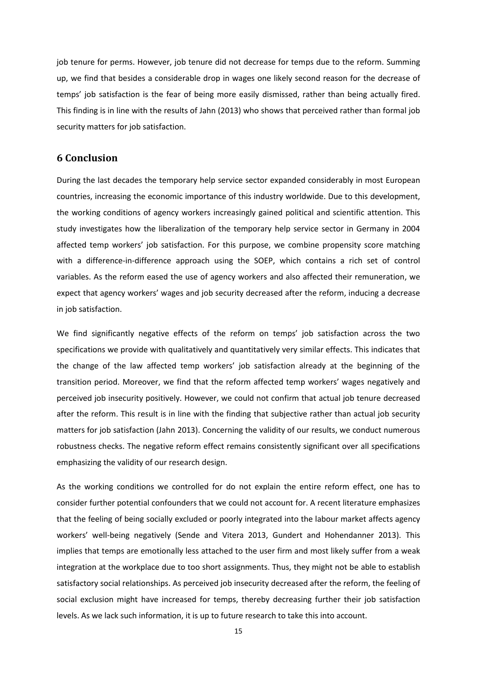job tenure for perms. However, job tenure did not decrease for temps due to the reform. Summing up, we find that besides a considerable drop in wages one likely second reason for the decrease of temps' job satisfaction is the fear of being more easily dismissed, rather than being actually fired. This finding is in line with the results of Jahn (2013) who shows that perceived rather than formal job security matters for job satisfaction.

# **6 Conclusion**

During the last decades the temporary help service sector expanded considerably in most European countries, increasing the economic importance of this industry worldwide. Due to this development, the working conditions of agency workers increasingly gained political and scientific attention. This study investigates how the liberalization of the temporary help service sector in Germany in 2004 affected temp workers' job satisfaction. For this purpose, we combine propensity score matching with a difference-in-difference approach using the SOEP, which contains a rich set of control variables. As the reform eased the use of agency workers and also affected their remuneration, we expect that agency workers' wages and job security decreased after the reform, inducing a decrease in job satisfaction.

We find significantly negative effects of the reform on temps' job satisfaction across the two specifications we provide with qualitatively and quantitatively very similar effects. This indicates that the change of the law affected temp workers' job satisfaction already at the beginning of the transition period. Moreover, we find that the reform affected temp workers' wages negatively and perceived job insecurity positively. However, we could not confirm that actual job tenure decreased after the reform. This result is in line with the finding that subjective rather than actual job security matters for job satisfaction (Jahn 2013). Concerning the validity of our results, we conduct numerous robustness checks. The negative reform effect remains consistently significant over all specifications emphasizing the validity of our research design.

As the working conditions we controlled for do not explain the entire reform effect, one has to consider further potential confounders that we could not account for. A recent literature emphasizes that the feeling of being socially excluded or poorly integrated into the labour market affects agency workers' well-being negatively (Sende and Vitera 2013, Gundert and Hohendanner 2013). This implies that temps are emotionally less attached to the user firm and most likely suffer from a weak integration at the workplace due to too short assignments. Thus, they might not be able to establish satisfactory social relationships. As perceived job insecurity decreased after the reform, the feeling of social exclusion might have increased for temps, thereby decreasing further their job satisfaction levels. As we lack such information, it is up to future research to take this into account.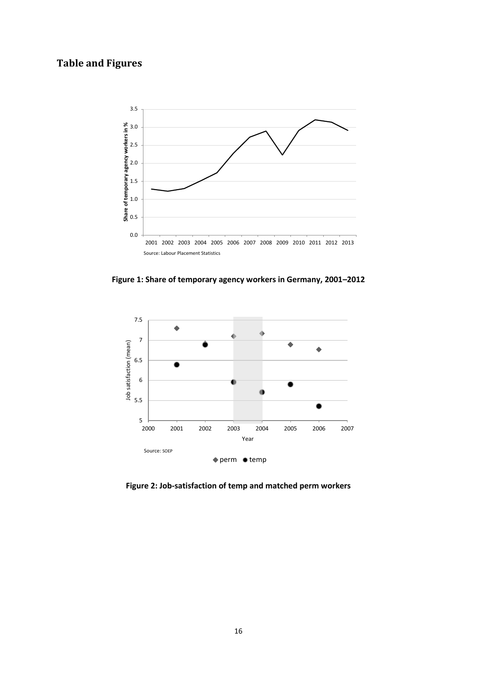# **Table and Figures**



**Figure 1: Share of temporary agency workers in Germany, 2001–2012**



**Figure 2: Job-satisfaction of temp and matched perm workers**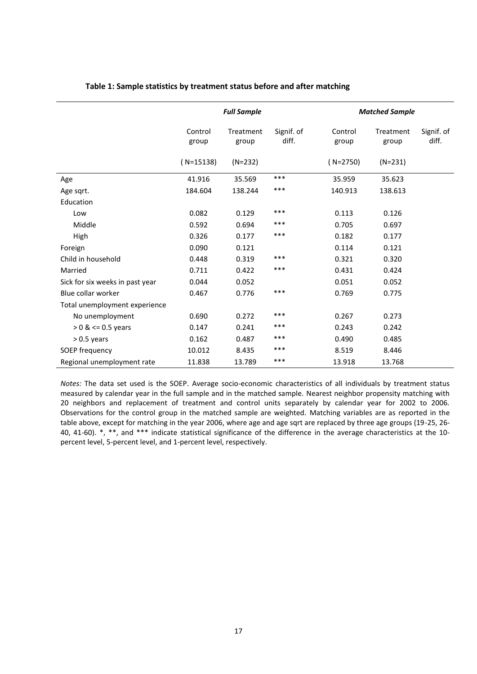|                                 | <b>Full Sample</b> |                    |                     | <b>Matched Sample</b> |                    |                     |  |
|---------------------------------|--------------------|--------------------|---------------------|-----------------------|--------------------|---------------------|--|
|                                 | Control<br>group   | Treatment<br>group | Signif. of<br>diff. | Control<br>group      | Treatment<br>group | Signif. of<br>diff. |  |
|                                 | $(N=15138)$        | $(N=232)$          |                     | $(N=2750)$            | $(N=231)$          |                     |  |
| Age                             | 41.916             | 35.569             | $***$               | 35.959                | 35.623             |                     |  |
| Age sqrt.                       | 184.604            | 138.244            | ***                 | 140.913               | 138.613            |                     |  |
| Education                       |                    |                    |                     |                       |                    |                     |  |
| Low                             | 0.082              | 0.129              | ***                 | 0.113                 | 0.126              |                     |  |
| Middle                          | 0.592              | 0.694              | ***                 | 0.705                 | 0.697              |                     |  |
| High                            | 0.326              | 0.177              | ***                 | 0.182                 | 0.177              |                     |  |
| Foreign                         | 0.090              | 0.121              |                     | 0.114                 | 0.121              |                     |  |
| Child in household              | 0.448              | 0.319              | ***                 | 0.321                 | 0.320              |                     |  |
| Married                         | 0.711              | 0.422              | ***                 | 0.431                 | 0.424              |                     |  |
| Sick for six weeks in past year | 0.044              | 0.052              |                     | 0.051                 | 0.052              |                     |  |
| Blue collar worker              | 0.467              | 0.776              | ***                 | 0.769                 | 0.775              |                     |  |
| Total unemployment experience   |                    |                    |                     |                       |                    |                     |  |
| No unemployment                 | 0.690              | 0.272              | ***                 | 0.267                 | 0.273              |                     |  |
| $> 0$ & <= 0.5 years            | 0.147              | 0.241              | ***                 | 0.243                 | 0.242              |                     |  |
| $> 0.5$ years                   | 0.162              | 0.487              | ***                 | 0.490                 | 0.485              |                     |  |
| SOEP frequency                  | 10.012             | 8.435              | ***                 | 8.519                 | 8.446              |                     |  |
| Regional unemployment rate      | 11.838             | 13.789             | ***                 | 13.918                | 13.768             |                     |  |

#### **Table 1: Sample statistics by treatment status before and after matching**

*Notes:* The data set used is the SOEP. Average socio-economic characteristics of all individuals by treatment status measured by calendar year in the full sample and in the matched sample. Nearest neighbor propensity matching with 20 neighbors and replacement of treatment and control units separately by calendar year for 2002 to 2006. Observations for the control group in the matched sample are weighted. Matching variables are as reported in the table above, except for matching in the year 2006, where age and age sqrt are replaced by three age groups (19-25, 26- 40, 41-60). \*, \*\*, and \*\*\* indicate statistical significance of the difference in the average characteristics at the 10 percent level, 5-percent level, and 1-percent level, respectively.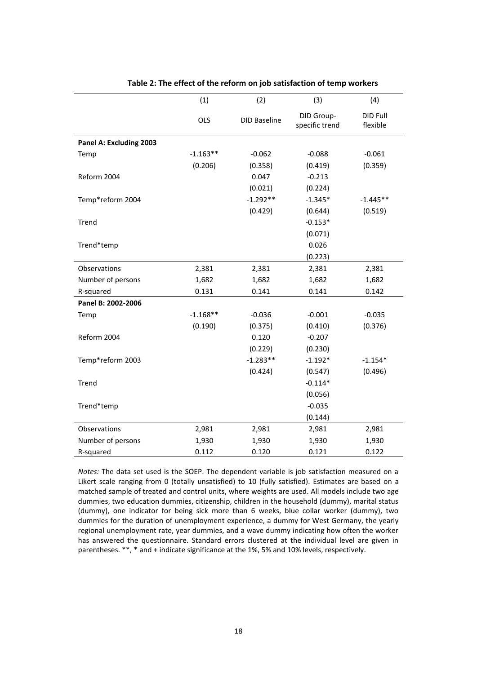|                         | (1)        | (2)                 | (3)                          | (4)                  |
|-------------------------|------------|---------------------|------------------------------|----------------------|
|                         | OLS        | <b>DID Baseline</b> | DID Group-<br>specific trend | DID Full<br>flexible |
| Panel A: Excluding 2003 |            |                     |                              |                      |
| Temp                    | $-1.163**$ | $-0.062$            | $-0.088$                     | $-0.061$             |
|                         | (0.206)    | (0.358)             | (0.419)                      | (0.359)              |
| Reform 2004             |            | 0.047               | $-0.213$                     |                      |
|                         |            | (0.021)             | (0.224)                      |                      |
| Temp*reform 2004        |            | $-1.292**$          | $-1.345*$                    | $-1.445**$           |
|                         |            | (0.429)             | (0.644)                      | (0.519)              |
| Trend                   |            |                     | $-0.153*$                    |                      |
|                         |            |                     | (0.071)                      |                      |
| Trend*temp              |            |                     | 0.026                        |                      |
|                         |            |                     | (0.223)                      |                      |
| Observations            | 2,381      | 2,381               | 2,381                        | 2,381                |
| Number of persons       | 1,682      | 1,682               | 1,682                        | 1,682                |
| R-squared               | 0.131      | 0.141               | 0.141                        | 0.142                |
| Panel B: 2002-2006      |            |                     |                              |                      |
| Temp                    | $-1.168**$ | $-0.036$            | $-0.001$                     | $-0.035$             |
|                         | (0.190)    | (0.375)             | (0.410)                      | (0.376)              |
| Reform 2004             |            | 0.120               | $-0.207$                     |                      |
|                         |            | (0.229)             | (0.230)                      |                      |
| Temp*reform 2003        |            | $-1.283**$          | $-1.192*$                    | $-1.154*$            |
|                         |            | (0.424)             | (0.547)                      | (0.496)              |
| Trend                   |            |                     | $-0.114*$                    |                      |
|                         |            |                     | (0.056)                      |                      |
| Trend*temp              |            |                     | $-0.035$                     |                      |
|                         |            |                     | (0.144)                      |                      |
| Observations            | 2,981      | 2,981               | 2,981                        | 2,981                |
| Number of persons       | 1,930      | 1,930               | 1,930                        | 1,930                |
| R-squared               | 0.112      | 0.120               | 0.121                        | 0.122                |

#### **Table 2: The effect of the reform on job satisfaction of temp workers**

*Notes:* The data set used is the SOEP. The dependent variable is job satisfaction measured on a Likert scale ranging from 0 (totally unsatisfied) to 10 (fully satisfied). Estimates are based on a matched sample of treated and control units, where weights are used. All models include two age dummies, two education dummies, citizenship, children in the household (dummy), marital status (dummy), one indicator for being sick more than 6 weeks, blue collar worker (dummy), two dummies for the duration of unemployment experience, a dummy for West Germany, the yearly regional unemployment rate, year dummies, and a wave dummy indicating how often the worker has answered the questionnaire. Standard errors clustered at the individual level are given in parentheses. \*\*, \* and + indicate significance at the 1%, 5% and 10% levels, respectively.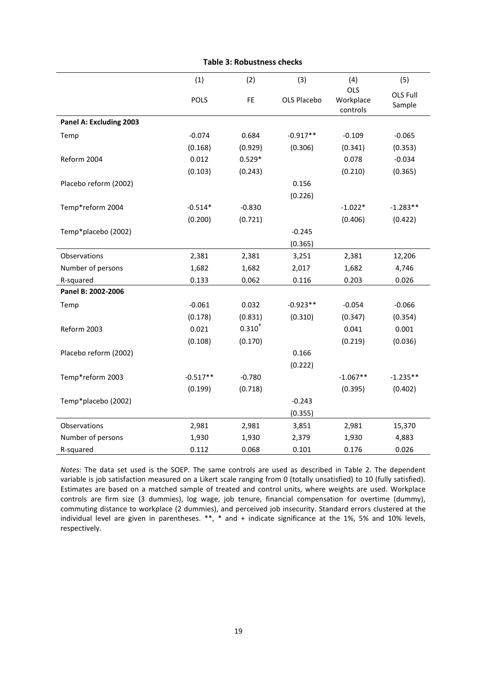|                         | (1)         | (2)         | (3)         | (4)                                 | (5)                |
|-------------------------|-------------|-------------|-------------|-------------------------------------|--------------------|
|                         | <b>POLS</b> | <b>FE</b>   | OLS Placebo | <b>OLS</b><br>Workplace<br>controls | OLS Full<br>Sample |
| Panel A: Excluding 2003 |             |             |             |                                     |                    |
| Temp                    | $-0.074$    | 0.684       | $-0.917**$  | $-0.109$                            | $-0.065$           |
|                         | (0.168)     | (0.929)     | (0.306)     | (0.341)                             | (0.353)            |
| Reform 2004             | 0.012       | $0.529*$    |             | 0.078                               | $-0.034$           |
|                         | (0.103)     | (0.243)     |             | (0.210)                             | (0.365)            |
| Placebo reform (2002)   |             |             | 0.156       |                                     |                    |
|                         |             |             | (0.226)     |                                     |                    |
| Temp*reform 2004        | $-0.514*$   | $-0.830$    |             | $-1.022*$                           | $-1.283**$         |
|                         | (0.200)     | (0.721)     |             | (0.406)                             | (0.422)            |
| Temp*placebo (2002)     |             |             | $-0.245$    |                                     |                    |
|                         |             |             | (0.365)     |                                     |                    |
| Observations            | 2,381       | 2,381       | 3,251       | 2,381                               | 12,206             |
| Number of persons       | 1,682       | 1,682       | 2,017       | 1,682                               | 4,746              |
| R-squared               | 0.133       | 0.062       | 0.116       | 0.203                               | 0.026              |
| Panel B: 2002-2006      |             |             |             |                                     |                    |
| Temp                    | $-0.061$    | 0.032       | $-0.923**$  | $-0.054$                            | $-0.066$           |
|                         | (0.178)     | (0.831)     | (0.310)     | (0.347)                             | (0.354)            |
| Reform 2003             | 0.021       | $0.310^{+}$ |             | 0.041                               | 0.001              |
|                         | (0.108)     | (0.170)     |             | (0.219)                             | (0.036)            |
| Placebo reform (2002)   |             |             | 0.166       |                                     |                    |
|                         |             |             | (0.222)     |                                     |                    |
| Temp*reform 2003        | $-0.517**$  | $-0.780$    |             | $-1.067**$                          | $-1.235**$         |
|                         | (0.199)     | (0.718)     |             | (0.395)                             | (0.402)            |
| Temp*placebo (2002)     |             |             | $-0.243$    |                                     |                    |
|                         |             |             | (0.355)     |                                     |                    |
| Observations            | 2,981       | 2,981       | 3,851       | 2,981                               | 15,370             |
| Number of persons       | 1,930       | 1,930       | 2,379       | 1,930                               | 4,883              |
| R-squared               | 0.112       | 0.068       | 0.101       | 0.176                               | 0.026              |

#### **Table 3: Robustness checks**

*Notes:* The data set used is the SOEP. The same controls are used as described in Table 2. The dependent variable is job satisfaction measured on a Likert scale ranging from 0 (totally unsatisfied) to 10 (fully satisfied). Estimates are based on a matched sample of treated and control units, where weights are used. Workplace controls are firm size (3 dummies), log wage, job tenure, financial compensation for overtime (dummy), commuting distance to workplace (2 dummies), and perceived job insecurity. Standard errors clustered at the individual level are given in parentheses. \*\*, \* and + indicate significance at the 1%, 5% and 10% levels, respectively.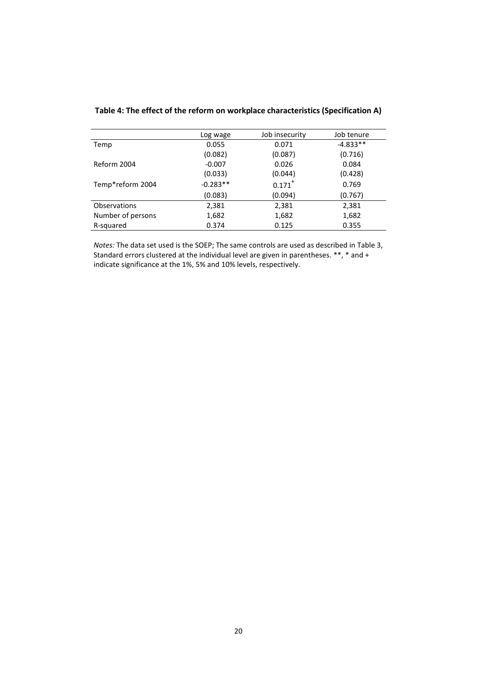|                   | Log wage   | Job insecurity       | Job tenure |
|-------------------|------------|----------------------|------------|
| Temp              | 0.055      | 0.071                | $-4.833**$ |
|                   | (0.082)    | (0.087)              | (0.716)    |
| Reform 2004       | $-0.007$   | 0.026                | 0.084      |
|                   | (0.033)    | (0.044)              | (0.428)    |
| Temp*reform 2004  | $-0.283**$ | $0.171$ <sup>+</sup> | 0.769      |
|                   | (0.083)    | (0.094)              | (0.767)    |
| Observations      | 2,381      | 2,381                | 2,381      |
| Number of persons | 1,682      | 1,682                | 1,682      |
| R-squared         | 0.374      | 0.125                | 0.355      |
|                   |            |                      |            |

### **Table 4: The effect of the reform on workplace characteristics (Specification A)**

*Notes:* The data set used is the SOEP; The same controls are used as described in Table 3, Standard errors clustered at the individual level are given in parentheses. \*\*, \* and + indicate significance at the 1%, 5% and 10% levels, respectively.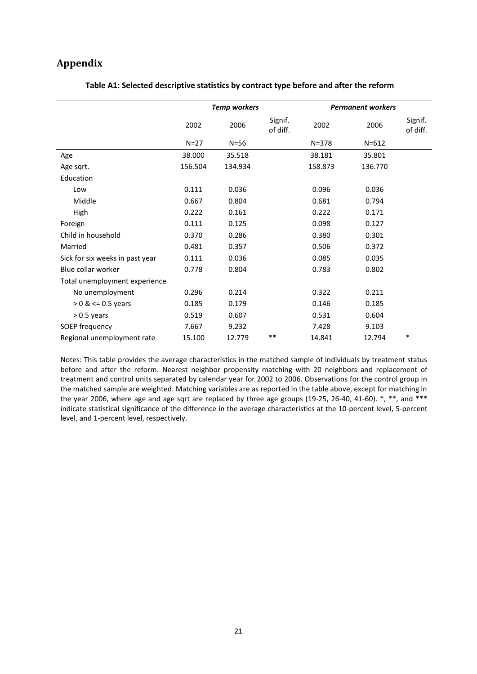# **Appendix**

|                                 | <b>Temp workers</b> |         |                     | <b>Permanent workers</b> |           |                     |
|---------------------------------|---------------------|---------|---------------------|--------------------------|-----------|---------------------|
|                                 | 2002                | 2006    | Signif.<br>of diff. | 2002                     | 2006      | Signif.<br>of diff. |
|                                 | $N=27$              | $N=56$  |                     | $N = 378$                | $N = 612$ |                     |
| Age                             | 38.000              | 35.518  |                     | 38.181                   | 35.801    |                     |
| Age sqrt.                       | 156.504             | 134.934 |                     | 158.873                  | 136.770   |                     |
| Education                       |                     |         |                     |                          |           |                     |
| Low                             | 0.111               | 0.036   |                     | 0.096                    | 0.036     |                     |
| Middle                          | 0.667               | 0.804   |                     | 0.681                    | 0.794     |                     |
| High                            | 0.222               | 0.161   |                     | 0.222                    | 0.171     |                     |
| Foreign                         | 0.111               | 0.125   |                     | 0.098                    | 0.127     |                     |
| Child in household              | 0.370               | 0.286   |                     | 0.380                    | 0.301     |                     |
| Married                         | 0.481               | 0.357   |                     | 0.506                    | 0.372     |                     |
| Sick for six weeks in past year | 0.111               | 0.036   |                     | 0.085                    | 0.035     |                     |
| Blue collar worker              | 0.778               | 0.804   |                     | 0.783                    | 0.802     |                     |
| Total unemployment experience   |                     |         |                     |                          |           |                     |
| No unemployment                 | 0.296               | 0.214   |                     | 0.322                    | 0.211     |                     |
| $> 0$ & $\le$ 0.5 years         | 0.185               | 0.179   |                     | 0.146                    | 0.185     |                     |
| $> 0.5$ years                   | 0.519               | 0.607   |                     | 0.531                    | 0.604     |                     |
| SOEP frequency                  | 7.667               | 9.232   |                     | 7.428                    | 9.103     |                     |
| Regional unemployment rate      | 15.100              | 12.779  | $***$               | 14.841                   | 12.794    | $\ast$              |

#### **Table A1: Selected descriptive statistics by contract type before and after the reform**

Notes: This table provides the average characteristics in the matched sample of individuals by treatment status before and after the reform. Nearest neighbor propensity matching with 20 neighbors and replacement of treatment and control units separated by calendar year for 2002 to 2006. Observations for the control group in the matched sample are weighted. Matching variables are as reported in the table above, except for matching in the year 2006, where age and age sqrt are replaced by three age groups (19-25, 26-40, 41-60).  $*, **$ , and  $***$ indicate statistical significance of the difference in the average characteristics at the 10-percent level, 5-percent level, and 1-percent level, respectively.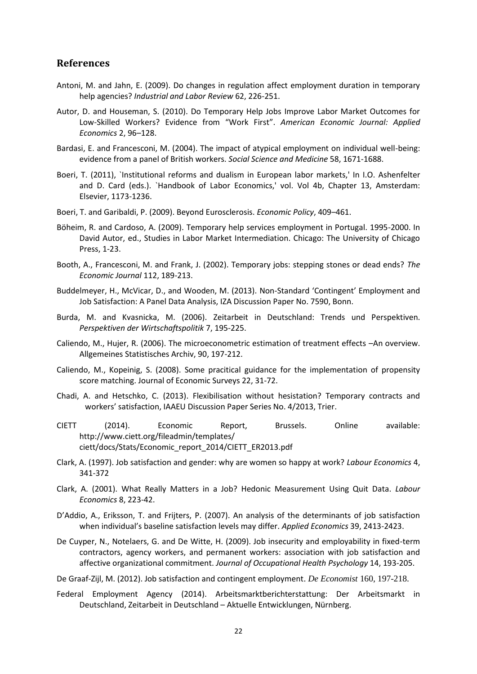# **References**

- Antoni, M. and Jahn, E. (2009). Do changes in regulation affect employment duration in temporary help agencies? *Industrial and Labor Review* 62, 226-251.
- Autor, D. and Houseman, S. (2010). Do Temporary Help Jobs Improve Labor Market Outcomes for Low-Skilled Workers? Evidence from "Work First". *American Economic Journal: Applied Economics* 2, 96–128.
- Bardasi, E. and Francesconi, M. (2004). The impact of atypical employment on individual well-being: evidence from a panel of British workers. *Social Science and Medicine* 58, 1671-1688.
- Boeri, T. (2011), `Institutional reforms and dualism in European labor markets,' In I.O. Ashenfelter and D. Card (eds.). `Handbook of Labor Economics,' vol. Vol 4b, Chapter 13, Amsterdam: Elsevier, 1173-1236.
- Boeri, T. and Garibaldi, P. (2009). Beyond Eurosclerosis. *Economic Policy*, 409–461.
- Böheim, R. and Cardoso, A. (2009). Temporary help services employment in Portugal. 1995-2000. In David Autor, ed., Studies in Labor Market Intermediation. Chicago: The University of Chicago Press, 1-23.
- Booth, A., Francesconi, M. and Frank, J. (2002). Temporary jobs: stepping stones or dead ends? *The Economic Journal* 112, 189-213.
- Buddelmeyer, H., McVicar, D., and Wooden, M. (2013). Non-Standard 'Contingent' Employment and Job Satisfaction: A Panel Data Analysis, IZA Discussion Paper No. 7590, Bonn.
- Burda, M. and Kvasnicka, M. (2006). Zeitarbeit in Deutschland: Trends und Perspektiven. *Perspektiven der Wirtschaftspolitik* 7, 195-225.
- Caliendo, M., Hujer, R. (2006). The microeconometric estimation of treatment effects –An overview. Allgemeines Statistisches Archiv, 90, 197-212.
- Caliendo, M., Kopeinig, S. (2008). Some pracitical guidance for the implementation of propensity score matching. Journal of Economic Surveys 22, 31-72.
- Chadi, A. and Hetschko, C. (2013). Flexibilisation without hesistation? Temporary contracts and workers' satisfaction, IAAEU Discussion Paper Series No. 4/2013, Trier.
- CIETT (2014). Economic Report, Brussels. Online available: http://www.ciett.org/fileadmin/templates/ ciett/docs/Stats/Economic\_report\_2014/CIETT\_ER2013.pdf
- Clark, A. (1997). Job satisfaction and gender: why are women so happy at work? *Labour Economics* 4, 341-372
- Clark, A. (2001). What Really Matters in a Job? Hedonic Measurement Using Quit Data. *Labour Economics* 8, 223-42.
- D'Addio, A., Eriksson, T. and Frijters, P. (2007). An analysis of the determinants of job satisfaction when individual's baseline satisfaction levels may differ. *Applied Economics* 39, 2413-2423.
- De Cuyper, N., Notelaers, G. and De Witte, H. (2009). Job insecurity and employability in fixed-term contractors, agency workers, and permanent workers: association with job satisfaction and affective organizational commitment. *Journal of Occupational Health Psychology* 14, 193-205.

De Graaf-Zijl, M. (2012). Job satisfaction and contingent employment. *De Economist* 160, 197-218.

Federal Employment Agency (2014). Arbeitsmarktberichterstattung: Der Arbeitsmarkt in Deutschland, Zeitarbeit in Deutschland – Aktuelle Entwicklungen, Nürnberg.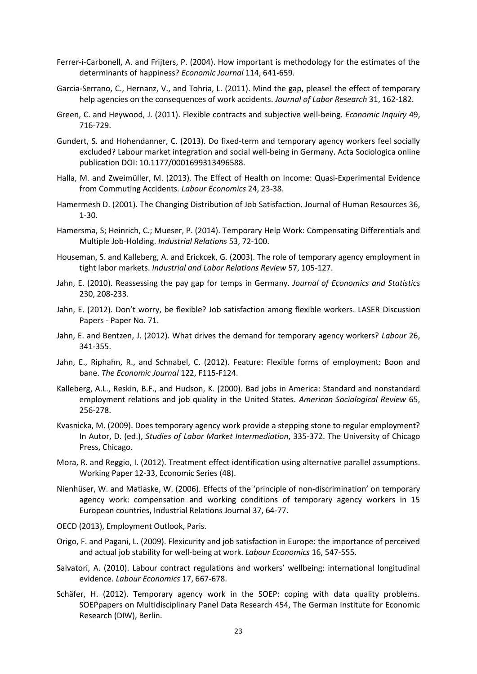- Ferrer-i-Carbonell, A. and Frijters, P. (2004). How important is methodology for the estimates of the determinants of happiness? *Economic Journal* 114, 641-659.
- Garcia-Serrano, C., Hernanz, V., and Tohria, L. (2011). Mind the gap, please! the effect of temporary help agencies on the consequences of work accidents. *Journal of Labor Research* 31, 162-182.
- Green, C. and Heywood, J. (2011). Flexible contracts and subjective well-being. *Economic Inquiry* 49, 716-729.
- Gundert, S. and Hohendanner, C. (2013). Do fixed-term and temporary agency workers feel socially excluded? Labour market integration and social well-being in Germany. Acta Sociologica online publication DOI: 10.1177/0001699313496588.
- Halla, M. and Zweimüller, M. (2013). The Effect of Health on Income: Quasi-Experimental Evidence from Commuting Accidents. *Labour Economics* 24, 23-38.
- Hamermesh D. (2001). The Changing Distribution of Job Satisfaction. Journal of Human Resources 36, 1-30.
- Hamersma, S; Heinrich, C.; Mueser, P. (2014). Temporary Help Work: Compensating Differentials and Multiple Job-Holding. *Industrial Relations* 53, 72-100.
- Houseman, S. and Kalleberg, A. and Erickcek, G. (2003). The role of temporary agency employment in tight labor markets. *Industrial and Labor Relations Review* 57, 105-127.
- Jahn, E. (2010). Reassessing the pay gap for temps in Germany. *Journal of Economics and Statistics* 230, 208-233.
- Jahn, E. (2012). Don't worry, be flexible? Job satisfaction among flexible workers. LASER Discussion Papers - Paper No. 71.
- Jahn, E. and Bentzen, J. (2012). What drives the demand for temporary agency workers? *Labour* 26, 341-355.
- Jahn, E., Riphahn, R., and Schnabel, C. (2012). Feature: Flexible forms of employment: Boon and bane. *The Economic Journal* 122, F115-F124.
- Kalleberg, A.L., Reskin, B.F., and Hudson, K. (2000). Bad jobs in America: Standard and nonstandard employment relations and job quality in the United States. *American Sociological Review* 65, 256-278.
- Kvasnicka, M. (2009). Does temporary agency work provide a stepping stone to regular employment? In Autor, D. (ed.), *Studies of Labor Market Intermediation*, 335-372. The University of Chicago Press, Chicago.
- Mora, R. and Reggio, I. (2012). Treatment effect identification using alternative parallel assumptions. Working Paper 12-33, Economic Series (48).
- Nienhüser, W. and Matiaske, W. (2006). Effects of the 'principle of non-discrimination' on temporary agency work: compensation and working conditions of temporary agency workers in 15 European countries, Industrial Relations Journal 37, 64-77.
- OECD (2013), Employment Outlook, Paris.
- Origo, F. and Pagani, L. (2009). Flexicurity and job satisfaction in Europe: the importance of perceived and actual job stability for well-being at work. *Labour Economics* 16, 547-555.
- Salvatori, A. (2010). Labour contract regulations and workers' wellbeing: international longitudinal evidence. *Labour Economics* 17, 667-678.
- Schäfer, H. (2012). Temporary agency work in the SOEP: coping with data quality problems. SOEPpapers on Multidisciplinary Panel Data Research 454, The German Institute for Economic Research (DIW), Berlin.